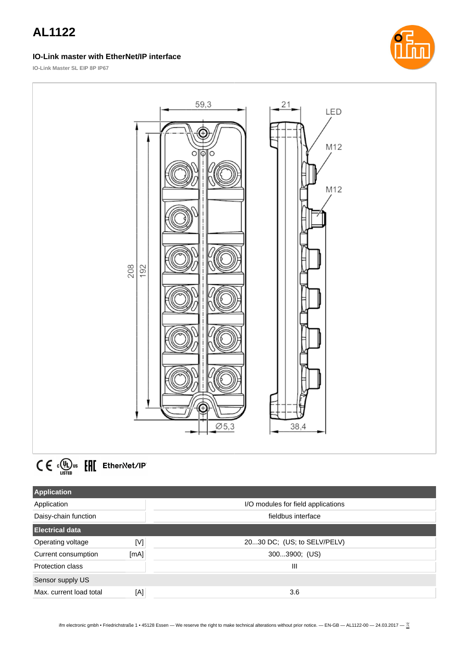#### **IO-Link master with EtherNet/IP interface**



**IO-Link Master SL EIP 8P IP67**





| <b>Application</b>      |                     |                                    |
|-------------------------|---------------------|------------------------------------|
| Application             |                     | I/O modules for field applications |
| Daisy-chain function    |                     | fieldbus interface                 |
| <b>Electrical data</b>  |                     |                                    |
| Operating voltage       | $\lfloor M \rfloor$ | 2030 DC; (US; to SELV/PELV)        |
| Current consumption     | [mA]                | 3003900; (US)                      |
| Protection class        |                     | Ш                                  |
| Sensor supply US        |                     |                                    |
| Max. current load total | [A]                 | 3.6                                |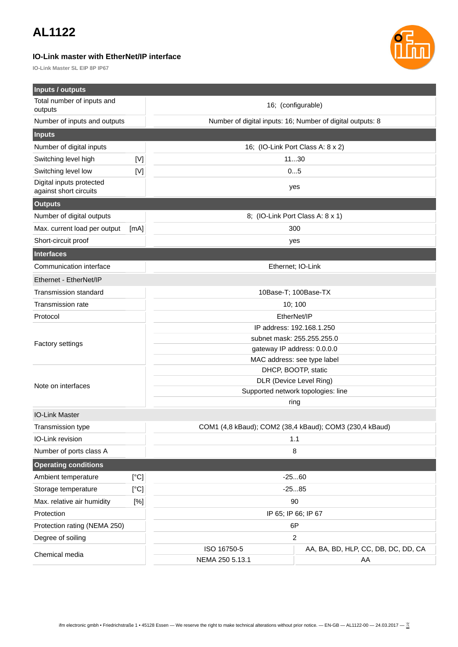### **IO-Link master with EtherNet/IP interface**

**IO-Link Master SL EIP 8P IP67**



| Inputs / outputs                                   |             |                                                         |                                                            |  |
|----------------------------------------------------|-------------|---------------------------------------------------------|------------------------------------------------------------|--|
| Total number of inputs and<br>outputs              |             | 16; (configurable)                                      |                                                            |  |
| Number of inputs and outputs                       |             |                                                         | Number of digital inputs: 16; Number of digital outputs: 8 |  |
| <b>Inputs</b>                                      |             |                                                         |                                                            |  |
| Number of digital inputs                           |             |                                                         | 16; (IO-Link Port Class A: 8 x 2)                          |  |
| Switching level high                               | $[V]$       |                                                         | 1130                                                       |  |
| Switching level low                                | $[{\sf V}]$ |                                                         | 05                                                         |  |
| Digital inputs protected<br>against short circuits |             |                                                         | yes                                                        |  |
| <b>Outputs</b>                                     |             |                                                         |                                                            |  |
| Number of digital outputs                          |             | 8; (IO-Link Port Class A: 8 x 1)                        |                                                            |  |
| Max. current load per output                       | [mA]        |                                                         | 300                                                        |  |
| Short-circuit proof                                |             |                                                         | yes                                                        |  |
| <b>Interfaces</b>                                  |             |                                                         |                                                            |  |
| Communication interface                            |             |                                                         | Ethernet; IO-Link                                          |  |
| Ethernet - EtherNet/IP                             |             |                                                         |                                                            |  |
| <b>Transmission standard</b>                       |             | 10Base-T; 100Base-TX                                    |                                                            |  |
| Transmission rate                                  |             | 10; 100                                                 |                                                            |  |
| Protocol                                           |             | EtherNet/IP                                             |                                                            |  |
|                                                    |             | IP address: 192.168.1.250                               |                                                            |  |
| <b>Factory settings</b>                            |             | subnet mask: 255.255.255.0                              |                                                            |  |
|                                                    |             | gateway IP address: 0.0.0.0                             |                                                            |  |
|                                                    |             | MAC address: see type label                             |                                                            |  |
|                                                    |             | DHCP, BOOTP, static                                     |                                                            |  |
| Note on interfaces                                 |             | DLR (Device Level Ring)                                 |                                                            |  |
|                                                    |             | Supported network topologies: line                      |                                                            |  |
|                                                    |             | ring                                                    |                                                            |  |
| <b>IO-Link Master</b>                              |             |                                                         |                                                            |  |
| Transmission type                                  |             | COM1 (4,8 kBaud); COM2 (38,4 kBaud); COM3 (230,4 kBaud) |                                                            |  |
| IO-Link revision                                   |             | 1.1<br>8                                                |                                                            |  |
| Number of ports class A                            |             |                                                         |                                                            |  |
| <b>Operating conditions</b>                        |             |                                                         |                                                            |  |
| Ambient temperature                                | [°C]        |                                                         | $-2560$                                                    |  |
| Storage temperature                                | [°C]        | $-2585$                                                 |                                                            |  |
| Max. relative air humidity                         | [%]         | 90                                                      |                                                            |  |
| Protection                                         |             |                                                         | IP 65; IP 66; IP 67                                        |  |
| Protection rating (NEMA 250)                       |             | 6P                                                      |                                                            |  |
| Degree of soiling                                  |             | 2                                                       |                                                            |  |
| Chemical media                                     |             | ISO 16750-5                                             | AA, BA, BD, HLP, CC, DB, DC, DD, CA                        |  |
|                                                    |             | NEMA 250 5.13.1                                         | AA                                                         |  |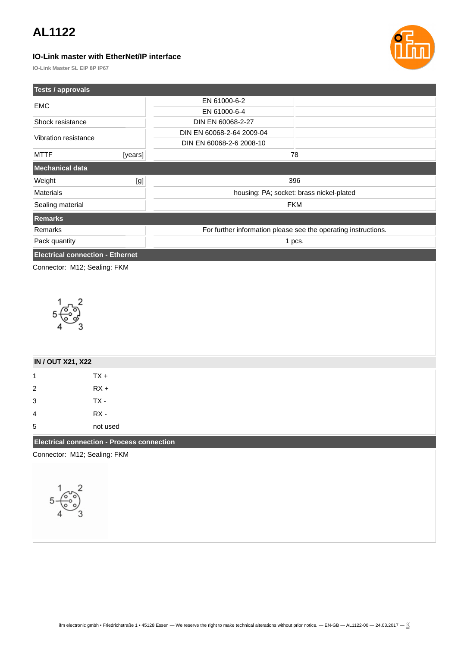### **IO-Link master with EtherNet/IP interface**



**IO-Link Master SL EIP 8P IP67**

| Tests / approvals                       |         |                                                                |     |
|-----------------------------------------|---------|----------------------------------------------------------------|-----|
| <b>EMC</b>                              |         | EN 61000-6-2                                                   |     |
|                                         |         | EN 61000-6-4                                                   |     |
| Shock resistance                        |         | DIN EN 60068-2-27                                              |     |
| Vibration resistance                    |         | DIN EN 60068-2-64 2009-04                                      |     |
|                                         |         | DIN EN 60068-2-6 2008-10                                       |     |
| <b>MTTF</b>                             | [years] |                                                                | 78  |
| <b>Mechanical data</b>                  |         |                                                                |     |
| Weight                                  | [g]     |                                                                | 396 |
| <b>Materials</b>                        |         | housing: PA; socket: brass nickel-plated                       |     |
| Sealing material                        |         | <b>FKM</b>                                                     |     |
| Remarks                                 |         |                                                                |     |
| Remarks                                 |         | For further information please see the operating instructions. |     |
| Pack quantity                           |         | 1 pcs.                                                         |     |
| <b>Electrical connection - Ethernet</b> |         |                                                                |     |
| Connector: M12; Sealing: FKM            |         |                                                                |     |



| <b>IN / OUT X21, X22</b>                          |          |  |
|---------------------------------------------------|----------|--|
| 1                                                 | $TX +$   |  |
| $\overline{2}$                                    | $RX +$   |  |
| 3                                                 | $TX -$   |  |
| 4                                                 | RX -     |  |
| 5                                                 | not used |  |
| <b>Electrical connection - Process connection</b> |          |  |

Connector: M12; Sealing: FKM